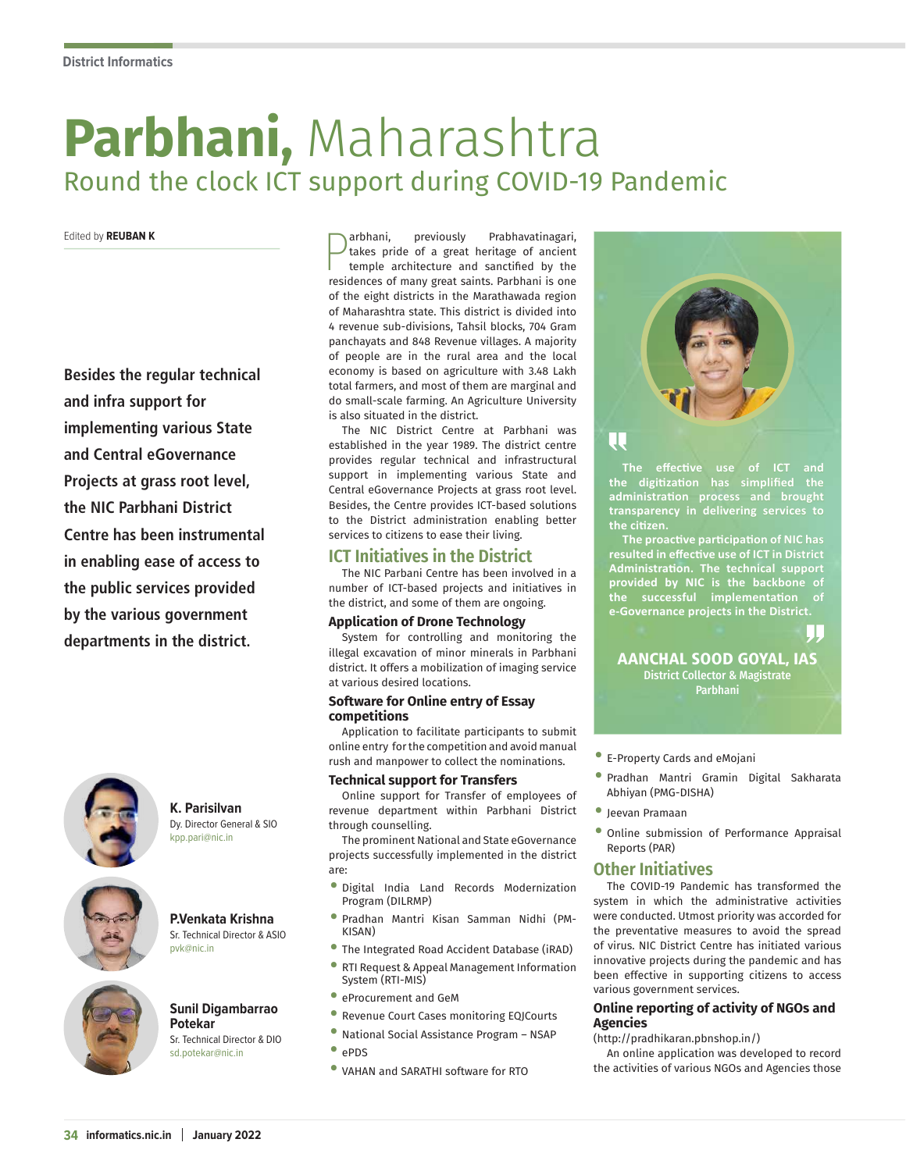# **Parbhani,** Maharashtra Round the clock ICT support during COVID-19 Pandemic

#### Edited by **REUBAN K**

**Besides the regular technical and infra support for implementing various State and Central eGovernance Projects at grass root level, the NIC Parbhani District Centre has been instrumental in enabling ease of access to the public services provided by the various government departments in the district.**



#### **K. Parisilvan** Dy. Director General & SIO kpp.pari@nic.in



#### **P.Venkata Krishna** Sr. Technical Director & ASIO

pvk@nic.in



#### **Sunil Digambarrao Potekar** Sr. Technical Director & DIO

sd.potekar@nic.in

**P**arbhani, previously Prabhavatinagari,<br>temple architecture and sanctified by the<br>residences of many great saints. Parbhani is one arbhani, previously Prabhavatinagari, takes pride of a great heritage of ancient temple architecture and sanctified by the of the eight districts in the Marathawada region of Maharashtra state. This district is divided into 4 revenue sub-divisions, Tahsil blocks, 704 Gram panchayats and 848 Revenue villages. A majority of people are in the rural area and the local economy is based on agriculture with 3.48 Lakh total farmers, and most of them are marginal and do small-scale farming. An Agriculture University is also situated in the district.

The NIC District Centre at Parbhani was established in the year 1989. The district centre provides regular technical and infrastructural support in implementing various State and Central eGovernance Projects at grass root level. Besides, the Centre provides ICT-based solutions to the District administration enabling better services to citizens to ease their living.

# **ICT Initiatives in the District**

The NIC Parbani Centre has been involved in a number of ICT-based projects and initiatives in the district, and some of them are ongoing.

#### **Application of Drone Technology**

System for controlling and monitoring the illegal excavation of minor minerals in Parbhani district. It offers a mobilization of imaging service at various desired locations.

#### **Software for Online entry of Essay competitions**

Application to facilitate participants to submit online entry for the competition and avoid manual rush and manpower to collect the nominations.

#### **Technical support for Transfers**

Online support for Transfer of employees of revenue department within Parbhani District through counselling.

The prominent National and State eGovernance projects successfully implemented in the district are:

- Digital India Land Records Modernization Program (DILRMP)
- Pradhan Mantri Kisan Samman Nidhi (PM-KISAN)
- The Integrated Road Accident Database (iRAD)
- RTI Request & Appeal Management Information System (RTI-MIS)
- eProcurement and GeM
- Revenue Court Cases monitoring EQJCourts
- National Social Assistance Program NSAP
- ePDS
- VAHAN and SARATHI software for RTO



# Π.

**The effective use of ICT and the digitization has simplified the administration process and brought transparency in delivering services to the citizen.**

**The proactive participation of NIC has resulted in effective use of ICT in District Administration. The technical support provided by NIC is the backbone of the successful implementation of eGovernance projects in the District. e-Governance projects in the District.**

#### AANCHAL SOOD GOYAL, IAS District Collector & Magistrate Parbhani

- E-Property Cards and eMojani
- Pradhan Mantri Gramin Digital Sakharata Abhiyan (PMG-DISHA)
- Jeevan Pramaan
- Online submission of Performance Appraisal Reports (PAR)

# **Other Initiatives**

The COVID-19 Pandemic has transformed the system in which the administrative activities were conducted. Utmost priority was accorded for the preventative measures to avoid the spread of virus. NIC District Centre has initiated various innovative projects during the pandemic and has been effective in supporting citizens to access various government services.

#### **Online reporting of activity of NGOs and Agencies**

#### (http://pradhikaran.pbnshop.in/)

An online application was developed to record the activities of various NGOs and Agencies those